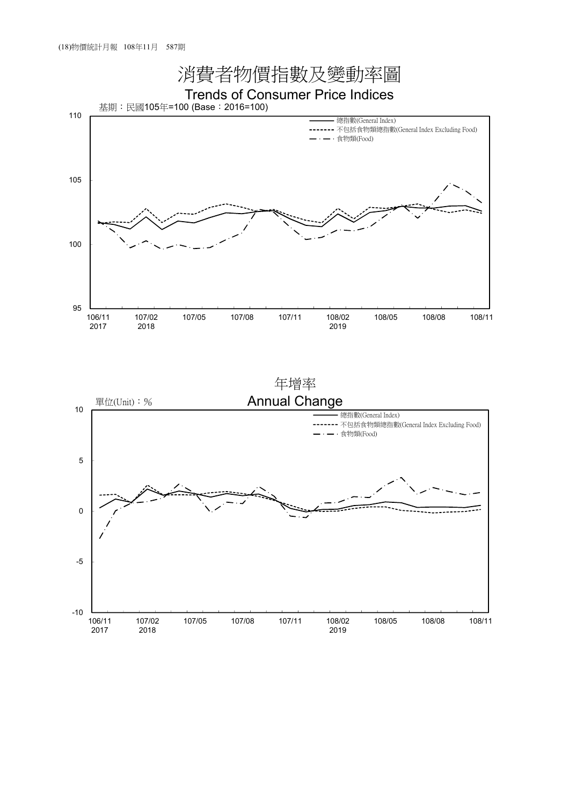

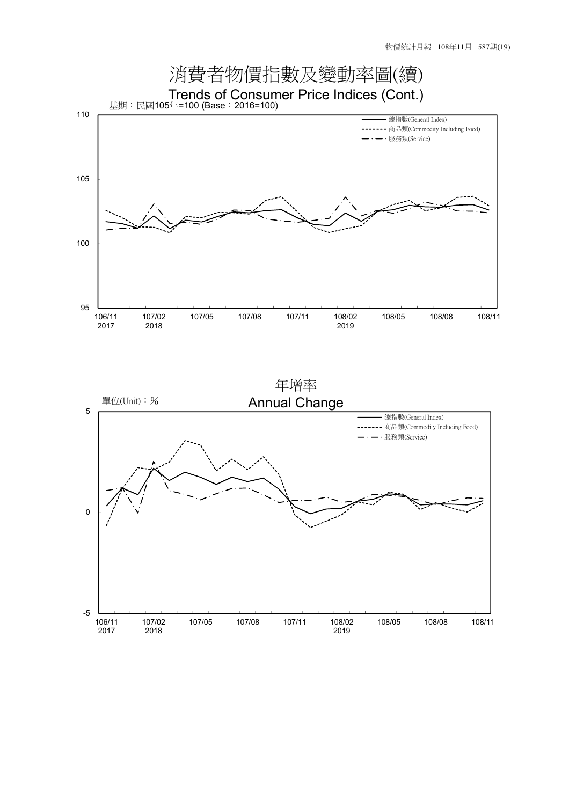